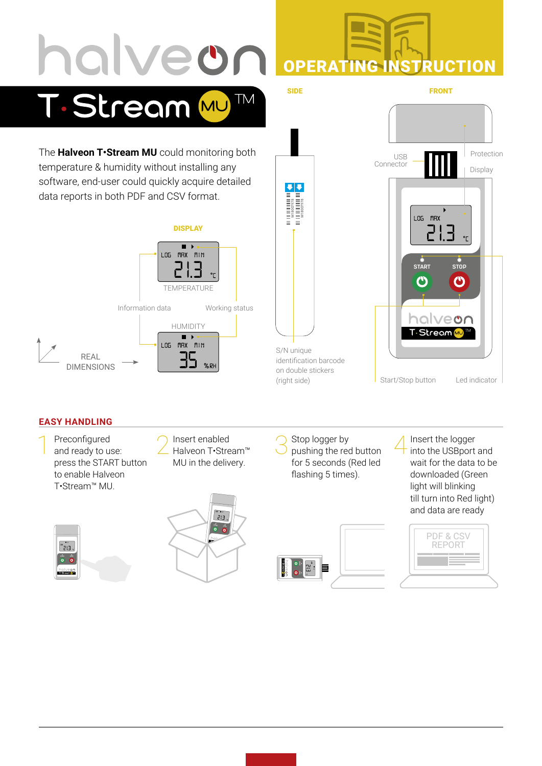nalveon

**T.Stream MU TM** 

The **Halveon T•Stream MU** could monitoring both temperature & humidity without installing any software, end-user could quickly acquire detailed data reports in both PDF and CSV format.





OPERATING INSTRUCTION

## **EASY HANDLING**

- T Preconfigured<br>and ready to use: press the START button to enable Halveon T•Stream™ MU.
- 2 Insert enabled<br>∠ Halveon T•Stream™ MU in the delivery.





Stop logger by pushing the red button for 5 seconds (Red led flashing 5 times).



4Insert the logger into the USBport and wait for the data to be downloaded (Green light will blinking till turn into Red light) and data are ready

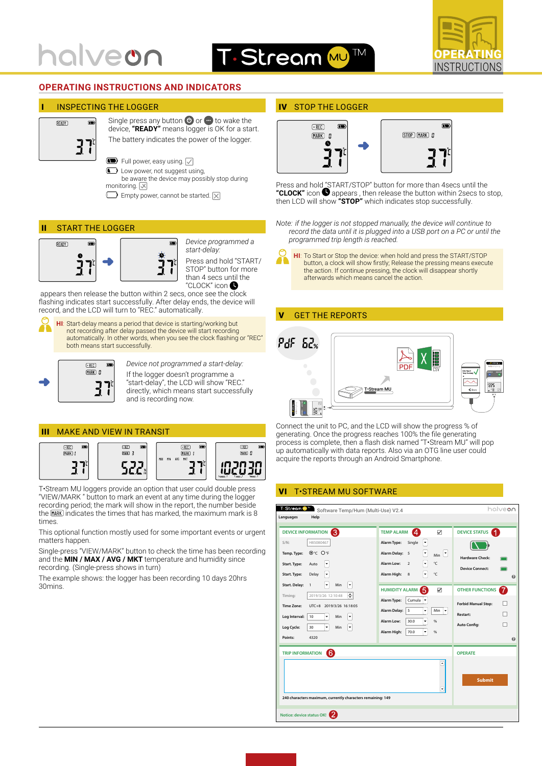

# **OPERATING INSTRUCTIONS AND INDICATORS**

#### INSPECTING THE LOGGER



Single press any button  $\bigcirc$  or  $\bigcirc$  to wake the device, **"READY"** means logger is OK for a start. The battery indicates the power of the logger.

 $\blacksquare$  Full power, easy using.  $\triangledown$ 

Low power, not suggest using,

be aware the device may possibly stop during monitoring.  $\boxed{\times}$ 

 $\Box$  Empty power, cannot be started.  $\times$ 

## II START THE LOGGER



*Device programmed a start-delay:*  Press and hold "START/ STOP" button for more than 4 secs until the "CLOCK" icon<sup>®</sup>

 appears then release the button within 2 secs, once see the clock flashing indicates start successfully. After delay ends, the device will record, and the LCD will turn to "REC." automatically.

**HI**: Start-delay means a period that device is starting/working but not recording after delay passed the device will start recording automatically. In other words, when you see the clock flashing or "REC" both means start successfully.



*Device not programmed a start-delay:*  If the logger doesn't programme a "start-delay", the LCD will show "REC." directly, which means start successfully and is recording now.

## **III** MAKE AND VIEW IN TRANSIT



T•Stream MU loggers provide an option that user could double press "VIEW/MARK " button to mark an event at any time during the logger recording period; the mark will show in the report, the number beside the **MARK** indicates the times that has marked, the maximum mark is 8 times.

This optional function mostly used for some important events or urgent matters happen.

Single-press "VIEW/MARK" button to check the time has been recording and the **MIN / MAX / AVG / MKT** temperature and humidity since recording. (Single-press shows in turn)

The example shows: the logger has been recording 10 days 20hrs 30mins.

## IV STOP THE LOGGER



Press and hold "START/STOP" button for more than 4secs until the **"CLOCK"** icon **v** appears, then release the button within 2secs to stop, then LCD will show **"STOP"** which indicates stop successfully.

*Note: if the logger is not stopped manually, the device will continue to record the data until it is plugged into a USB port on a PC or until the programmed trip length is reached.*

**HI**: To Start or Stop the device: when hold and press the START/STOP button, a clock will show firstly; Release the pressing means execute the action. If continue pressing, the clock will disappear shortly afterwards which means cancel the action.

## V GET THE REPORTS



Connect the unit to PC, and the LCD will show the progress % of generating. Once the progress reaches 100% the file generating process is complete, then a flash disk named "T•Stream MU" will pop up automatically with data reports. Also via an OTG line user could acquire the reports through an Android Smartphone.

## VI T•STREAM MU SOFTWARE

| Languages                                                                                               | Help                                                                                                                                                                        |                                                                                                                                                                                                                                                              |                                                                                                                     |  |
|---------------------------------------------------------------------------------------------------------|-----------------------------------------------------------------------------------------------------------------------------------------------------------------------------|--------------------------------------------------------------------------------------------------------------------------------------------------------------------------------------------------------------------------------------------------------------|---------------------------------------------------------------------------------------------------------------------|--|
| (3<br><b>DEVICE INFORMATION</b>                                                                         |                                                                                                                                                                             | TEMP ALARM 4<br>$\triangledown$                                                                                                                                                                                                                              | <b>DEVICE STATUS</b><br>$\mathbf{A}$                                                                                |  |
| $S/N$ :<br>Temp. Type:<br>Start. Type:<br>Start. Type:<br><b>Start. Delay:</b><br>Timing:<br>Time Zone: | H85080467<br>⊕°c O°F<br>$\overline{\phantom{a}}$<br>Auto<br>٠<br>Delay<br>$\checkmark$<br>٠<br>$\overline{1}$<br>Min<br>₽<br>2019/3/26 12:10:48<br>UTC+8 2019/3/26 16:18:05 | Alarm Type:<br>Single<br>۰<br>ŀ<br>Alarm Delay: 5<br>$_{\text{Min}}$ $\vert$<br>$\overline{\phantom{a}}$<br>°C<br>Alarm Low:<br>2<br>$\overline{\phantom{a}}$<br>$\mathcal{C}$<br>Alarm High:<br>8<br>HUMIDITY ALARM<br>$\vee$<br>Alarm Type:<br>Cumula<br>٠ | Hardware Check:<br>Device Connect:<br>$\boldsymbol{Q}$<br>7<br><b>OTHER FUNCTIONS</b><br><b>Forbid Manual Stop:</b> |  |
| Log Interval:<br>Log Cycle:<br>Points:                                                                  | ۰<br>٠<br>10<br>Min<br>۰<br>٠<br>30<br>Min<br>4320                                                                                                                          | <b>Alarm Delay:</b><br>5<br>٠<br>Min<br>l v<br>Alarm Low:<br>٠<br>30.0<br>96<br>٠<br>Alarm High:<br>70.0<br>96                                                                                                                                               | Restart:<br><b>Auto Config:</b><br>$\mathbf{a}$                                                                     |  |
| <b>TRIP INFORMATION</b>                                                                                 | 6                                                                                                                                                                           | <b>OPERATE</b>                                                                                                                                                                                                                                               |                                                                                                                     |  |
| ⊡<br><b>Submit</b><br>⋥<br>240 characters maximum, currently characters remaining: 149                  |                                                                                                                                                                             |                                                                                                                                                                                                                                                              |                                                                                                                     |  |